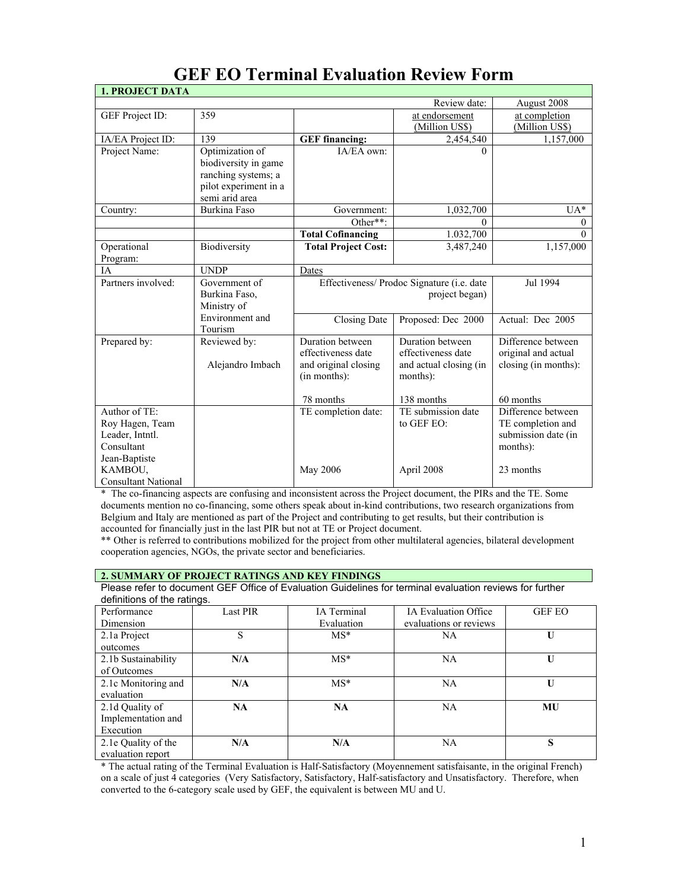# **GEF EO Terminal Evaluation Review Form**

| <b>1. PROJECT DATA</b>     |                       |                                            |                                        |                      |
|----------------------------|-----------------------|--------------------------------------------|----------------------------------------|----------------------|
|                            |                       |                                            | Review date:                           | August 2008          |
| GEF Project ID:            | 359                   |                                            | at endorsement                         | at completion        |
|                            |                       |                                            | (Million US\$)                         | (Million US\$)       |
| IA/EA Project ID:          | 139                   | <b>GEF</b> financing:                      | 2,454,540                              | 1,157,000            |
| Project Name:              | Optimization of       | IA/EA own:                                 | $\Omega$                               |                      |
|                            | biodiversity in game  |                                            |                                        |                      |
|                            | ranching systems; a   |                                            |                                        |                      |
|                            | pilot experiment in a |                                            |                                        |                      |
|                            | semi arid area        |                                            |                                        |                      |
| Country:                   | Burkina Faso          | Government:                                | 1,032,700                              | $UA*$                |
|                            |                       | Other**:                                   | $\Omega$                               | $\theta$             |
|                            |                       | <b>Total Cofinancing</b>                   | 1.032,700                              | $\Omega$             |
| Operational                | Biodiversity          | <b>Total Project Cost:</b>                 | 3,487,240                              | 1,157,000            |
| Program:                   |                       |                                            |                                        |                      |
| <b>IA</b>                  | <b>UNDP</b>           | Dates                                      |                                        |                      |
| Partners involved:         | Government of         | Effectiveness/ Prodoc Signature (i.e. date |                                        | Jul 1994             |
|                            | Burkina Faso,         |                                            | project began)                         |                      |
|                            | Ministry of           |                                            |                                        |                      |
|                            | Environment and       | Closing Date                               | Proposed: Dec 2000                     | Actual: Dec 2005     |
|                            | Tourism               |                                            |                                        |                      |
| Prepared by:               | Reviewed by:          | Duration between<br>effectiveness date     | Duration between<br>effectiveness date | Difference between   |
|                            |                       |                                            |                                        | original and actual  |
|                            | Alejandro Imbach      | and original closing                       | and actual closing (in                 | closing (in months): |
|                            |                       | (in months):                               | months):                               |                      |
|                            |                       | 78 months                                  | 138 months                             | 60 months            |
| Author of TE:              |                       | TE completion date:                        | TE submission date                     | Difference between   |
| Roy Hagen, Team            |                       |                                            | to GEF EO:                             | TE completion and    |
| Leader, Intntl.            |                       |                                            |                                        | submission date (in  |
| Consultant                 |                       |                                            |                                        | months):             |
| Jean-Baptiste              |                       |                                            |                                        |                      |
| KAMBOU,                    |                       | May 2006                                   | April 2008                             | 23 months            |
| <b>Consultant National</b> |                       |                                            |                                        |                      |

\* The co-financing aspects are confusing and inconsistent across the Project document, the PIRs and the TE. Some documents mention no co-financing, some others speak about in-kind contributions, two research organizations from Belgium and Italy are mentioned as part of the Project and contributing to get results, but their contribution is accounted for financially just in the last PIR but not at TE or Project document.

\*\* Other is referred to contributions mobilized for the project from other multilateral agencies, bilateral development cooperation agencies, NGOs, the private sector and beneficiaries.

## **2. SUMMARY OF PROJECT RATINGS AND KEY FINDINGS**

Please refer to document GEF Office of Evaluation Guidelines for terminal evaluation reviews for further definitions of the ratings.

| Performance         | <b>Last PIR</b> | IA Terminal | IA Evaluation Office   | <b>GEF EO</b> |
|---------------------|-----------------|-------------|------------------------|---------------|
|                     |                 |             |                        |               |
| Dimension           |                 | Evaluation  | evaluations or reviews |               |
| 2.1a Project        | S               | $MS^*$      | <b>NA</b>              | U             |
| outcomes            |                 |             |                        |               |
| 2.1b Sustainability | N/A             | $MS*$       | <b>NA</b>              | U             |
| of Outcomes         |                 |             |                        |               |
| 2.1c Monitoring and | N/A             | $MS*$       | <b>NA</b>              | $\mathbf{U}$  |
| evaluation          |                 |             |                        |               |
| 2.1d Quality of     | <b>NA</b>       | NA          | <b>NA</b>              | MU            |
| Implementation and  |                 |             |                        |               |
| Execution           |                 |             |                        |               |
| 2.1e Quality of the | N/A             | N/A         | <b>NA</b>              | S             |
| evaluation report   |                 |             |                        |               |

\* The actual rating of the Terminal Evaluation is Half-Satisfactory (Moyennement satisfaisante, in the original French) on a scale of just 4 categories (Very Satisfactory, Satisfactory, Half-satisfactory and Unsatisfactory. Therefore, when converted to the 6-category scale used by GEF, the equivalent is between MU and U.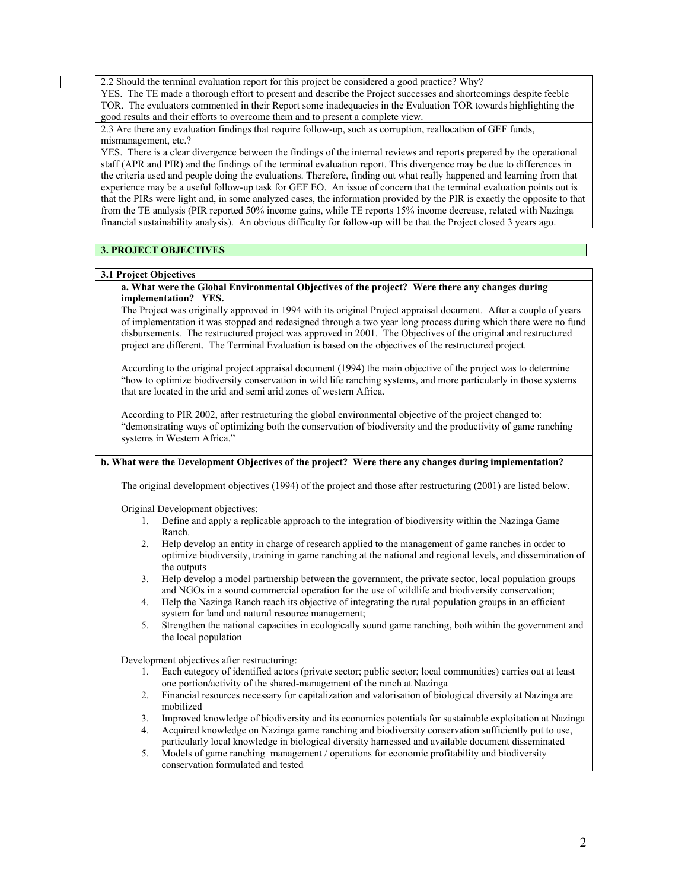2.2 Should the terminal evaluation report for this project be considered a good practice? Why?

YES. The TE made a thorough effort to present and describe the Project successes and shortcomings despite feeble TOR. The evaluators commented in their Report some inadequacies in the Evaluation TOR towards highlighting the good results and their efforts to overcome them and to present a complete view.

2.3 Are there any evaluation findings that require follow-up, such as corruption, reallocation of GEF funds, mismanagement, etc.?

YES. There is a clear divergence between the findings of the internal reviews and reports prepared by the operational staff (APR and PIR) and the findings of the terminal evaluation report. This divergence may be due to differences in the criteria used and people doing the evaluations. Therefore, finding out what really happened and learning from that experience may be a useful follow-up task for GEF EO. An issue of concern that the terminal evaluation points out is that the PIRs were light and, in some analyzed cases, the information provided by the PIR is exactly the opposite to that from the TE analysis (PIR reported 50% income gains, while TE reports 15% income decrease, related with Nazinga financial sustainability analysis). An obvious difficulty for follow-up will be that the Project closed 3 years ago.

## **3. PROJECT OBJECTIVES**

#### **3.1 Project Objectives**

#### **a. What were the Global Environmental Objectives of the project? Were there any changes during implementation? YES.**

The Project was originally approved in 1994 with its original Project appraisal document. After a couple of years of implementation it was stopped and redesigned through a two year long process during which there were no fund disbursements. The restructured project was approved in 2001. The Objectives of the original and restructured project are different. The Terminal Evaluation is based on the objectives of the restructured project.

According to the original project appraisal document (1994) the main objective of the project was to determine "how to optimize biodiversity conservation in wild life ranching systems, and more particularly in those systems that are located in the arid and semi arid zones of western Africa.

According to PIR 2002, after restructuring the global environmental objective of the project changed to: "demonstrating ways of optimizing both the conservation of biodiversity and the productivity of game ranching systems in Western Africa."

## **b. What were the Development Objectives of the project? Were there any changes during implementation?**

The original development objectives (1994) of the project and those after restructuring (2001) are listed below.

Original Development objectives:

- 1. Define and apply a replicable approach to the integration of biodiversity within the Nazinga Game Ranch.
- 2. Help develop an entity in charge of research applied to the management of game ranches in order to optimize biodiversity, training in game ranching at the national and regional levels, and dissemination of the outputs
- 3. Help develop a model partnership between the government, the private sector, local population groups and NGOs in a sound commercial operation for the use of wildlife and biodiversity conservation;
- 4. Help the Nazinga Ranch reach its objective of integrating the rural population groups in an efficient system for land and natural resource management;
- 5. Strengthen the national capacities in ecologically sound game ranching, both within the government and the local population

Development objectives after restructuring:

- 1. Each category of identified actors (private sector; public sector; local communities) carries out at least one portion/activity of the shared-management of the ranch at Nazinga
- 2. Financial resources necessary for capitalization and valorisation of biological diversity at Nazinga are mobilized
- 3. Improved knowledge of biodiversity and its economics potentials for sustainable exploitation at Nazinga 4. Acquired knowledge on Nazinga game ranching and biodiversity conservation sufficiently put to use,
- particularly local knowledge in biological diversity harnessed and available document disseminated
- 5. Models of game ranching management / operations for economic profitability and biodiversity conservation formulated and tested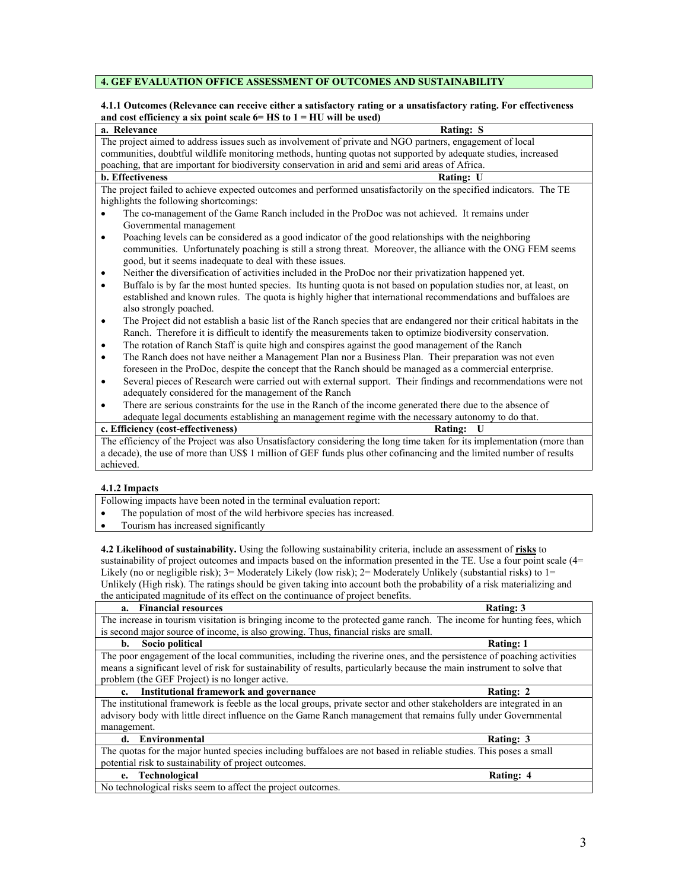## **4. GEF EVALUATION OFFICE ASSESSMENT OF OUTCOMES AND SUSTAINABILITY**

#### **4.1.1 Outcomes (Relevance can receive either a satisfactory rating or a unsatisfactory rating. For effectiveness**  and cost efficiency a six point scale  $6 = HS$  to  $1 = HU$  will be used)

| Rating: S<br>a. Relevance                                                                                                                                                                                                                                                                    |  |  |  |
|----------------------------------------------------------------------------------------------------------------------------------------------------------------------------------------------------------------------------------------------------------------------------------------------|--|--|--|
| The project aimed to address issues such as involvement of private and NGO partners, engagement of local                                                                                                                                                                                     |  |  |  |
| communities, doubtful wildlife monitoring methods, hunting quotas not supported by adequate studies, increased                                                                                                                                                                               |  |  |  |
| poaching, that are important for biodiversity conservation in arid and semi arid areas of Africa.                                                                                                                                                                                            |  |  |  |
| <b>b.</b> Effectiveness<br><b>Rating: U</b>                                                                                                                                                                                                                                                  |  |  |  |
| The project failed to achieve expected outcomes and performed unsatisfactorily on the specified indicators. The TE<br>highlights the following shortcomings:                                                                                                                                 |  |  |  |
| The co-management of the Game Ranch included in the ProDoc was not achieved. It remains under<br>$\bullet$<br>Governmental management                                                                                                                                                        |  |  |  |
| Poaching levels can be considered as a good indicator of the good relationships with the neighboring<br>$\bullet$<br>communities. Unfortunately poaching is still a strong threat. Moreover, the alliance with the ONG FEM seems<br>good, but it seems inadequate to deal with these issues. |  |  |  |
| Neither the diversification of activities included in the ProDoc nor their privatization happened yet.<br>$\bullet$                                                                                                                                                                          |  |  |  |
| Buffalo is by far the most hunted species. Its hunting quota is not based on population studies nor, at least, on<br>$\bullet$<br>established and known rules. The quota is highly higher that international recommendations and buffaloes are<br>also strongly poached.                     |  |  |  |
| The Project did not establish a basic list of the Ranch species that are endangered nor their critical habitats in the<br>$\bullet$<br>Ranch. Therefore it is difficult to identify the measurements taken to optimize biodiversity conservation.                                            |  |  |  |
| The rotation of Ranch Staff is quite high and conspires against the good management of the Ranch<br>$\bullet$                                                                                                                                                                                |  |  |  |
| The Ranch does not have neither a Management Plan nor a Business Plan. Their preparation was not even<br>$\bullet$                                                                                                                                                                           |  |  |  |
| foreseen in the ProDoc, despite the concept that the Ranch should be managed as a commercial enterprise.                                                                                                                                                                                     |  |  |  |
| Several pieces of Research were carried out with external support. Their findings and recommendations were not<br>$\bullet$                                                                                                                                                                  |  |  |  |
| adequately considered for the management of the Ranch                                                                                                                                                                                                                                        |  |  |  |
| There are serious constraints for the use in the Ranch of the income generated there due to the absence of                                                                                                                                                                                   |  |  |  |
| adequate legal documents establishing an management regime with the necessary autonomy to do that.                                                                                                                                                                                           |  |  |  |
| c. Efficiency (cost-effectiveness)<br><b>Rating:</b><br>U                                                                                                                                                                                                                                    |  |  |  |
| The efficiency of the Project was also Unsatisfactory considering the long time taken for its implementation (more than                                                                                                                                                                      |  |  |  |
| a decade), the use of more than US\$ 1 million of GEF funds plus other cofinancing and the limited number of results                                                                                                                                                                         |  |  |  |
| achieved.                                                                                                                                                                                                                                                                                    |  |  |  |
| 4.1.2 Impacts                                                                                                                                                                                                                                                                                |  |  |  |

#### **4.1.2 Impacts**

Following impacts have been noted in the terminal evaluation report:

- The population of most of the wild herbivore species has increased.
- Tourism has increased significantly

**4.2 Likelihood of sustainability.** Using the following sustainability criteria, include an assessment of **risks** to sustainability of project outcomes and impacts based on the information presented in the TE. Use a four point scale (4= Likely (no or negligible risk); 3= Moderately Likely (low risk); 2= Moderately Unlikely (substantial risks) to 1= Unlikely (High risk). The ratings should be given taking into account both the probability of a risk materializing and the anticipated magnitude of its effect on the continuance of project benefits.

| <b>Financial resources</b><br>a.                                                                                        | <b>Rating: 3</b> |  |  |  |
|-------------------------------------------------------------------------------------------------------------------------|------------------|--|--|--|
| The increase in tourism visitation is bringing income to the protected game ranch. The income for hunting fees, which   |                  |  |  |  |
| is second major source of income, is also growing. Thus, financial risks are small.                                     |                  |  |  |  |
| Socio political<br>b.                                                                                                   | <b>Rating: 1</b> |  |  |  |
| The poor engagement of the local communities, including the riverine ones, and the persistence of poaching activities   |                  |  |  |  |
| means a significant level of risk for sustainability of results, particularly because the main instrument to solve that |                  |  |  |  |
| problem (the GEF Project) is no longer active.                                                                          |                  |  |  |  |
| <b>Institutional framework and governance</b><br>$c_{\cdot}$                                                            | Rating: 2        |  |  |  |
| The institutional framework is feeble as the local groups, private sector and other stakeholders are integrated in an   |                  |  |  |  |
| advisory body with little direct influence on the Game Ranch management that remains fully under Governmental           |                  |  |  |  |
| management.                                                                                                             |                  |  |  |  |
| Environmental<br>d.                                                                                                     | Rating: 3        |  |  |  |
| The quotas for the major hunted species including buffaloes are not based in reliable studies. This poses a small       |                  |  |  |  |
| potential risk to sustainability of project outcomes.                                                                   |                  |  |  |  |
| e. Technological                                                                                                        | Rating: 4        |  |  |  |
| No technological risks seem to affect the project outcomes.                                                             |                  |  |  |  |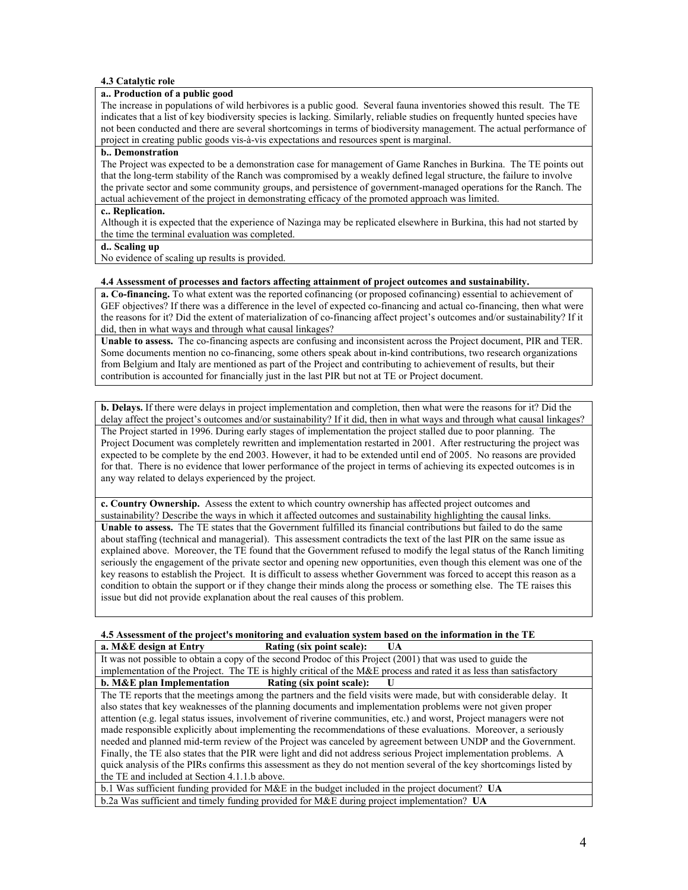#### **4.3 Catalytic role**

#### **a.. Production of a public good**

The increase in populations of wild herbivores is a public good. Several fauna inventories showed this result. The TE indicates that a list of key biodiversity species is lacking. Similarly, reliable studies on frequently hunted species have not been conducted and there are several shortcomings in terms of biodiversity management. The actual performance of project in creating public goods vis-à-vis expectations and resources spent is marginal.

#### **b.. Demonstration**

The Project was expected to be a demonstration case for management of Game Ranches in Burkina. The TE points out that the long-term stability of the Ranch was compromised by a weakly defined legal structure, the failure to involve the private sector and some community groups, and persistence of government-managed operations for the Ranch. The actual achievement of the project in demonstrating efficacy of the promoted approach was limited.

#### **c.. Replication.**

Although it is expected that the experience of Nazinga may be replicated elsewhere in Burkina, this had not started by the time the terminal evaluation was completed.

#### **d.. Scaling up**

No evidence of scaling up results is provided.

#### **4.4 Assessment of processes and factors affecting attainment of project outcomes and sustainability.**

**a. Co-financing.** To what extent was the reported cofinancing (or proposed cofinancing) essential to achievement of GEF objectives? If there was a difference in the level of expected co-financing and actual co-financing, then what were the reasons for it? Did the extent of materialization of co-financing affect project's outcomes and/or sustainability? If it did, then in what ways and through what causal linkages?

**Unable to assess.** The co-financing aspects are confusing and inconsistent across the Project document, PIR and TER. Some documents mention no co-financing, some others speak about in-kind contributions, two research organizations from Belgium and Italy are mentioned as part of the Project and contributing to achievement of results, but their contribution is accounted for financially just in the last PIR but not at TE or Project document.

**b. Delays.** If there were delays in project implementation and completion, then what were the reasons for it? Did the delay affect the project's outcomes and/or sustainability? If it did, then in what ways and through what causal linkages? The Project started in 1996. During early stages of implementation the project stalled due to poor planning. The Project Document was completely rewritten and implementation restarted in 2001. After restructuring the project was expected to be complete by the end 2003. However, it had to be extended until end of 2005. No reasons are provided for that. There is no evidence that lower performance of the project in terms of achieving its expected outcomes is in any way related to delays experienced by the project.

**c. Country Ownership.** Assess the extent to which country ownership has affected project outcomes and sustainability? Describe the ways in which it affected outcomes and sustainability highlighting the causal links. **Unable to assess.** The TE states that the Government fulfilled its financial contributions but failed to do the same about staffing (technical and managerial). This assessment contradicts the text of the last PIR on the same issue as explained above. Moreover, the TE found that the Government refused to modify the legal status of the Ranch limiting seriously the engagement of the private sector and opening new opportunities, even though this element was one of the key reasons to establish the Project. It is difficult to assess whether Government was forced to accept this reason as a condition to obtain the support or if they change their minds along the process or something else. The TE raises this issue but did not provide explanation about the real causes of this problem.

## **4.5 Assessment of the project's monitoring and evaluation system based on the information in the TE a. M&E design at Entry Rating (six point scale): UA**

It was not possible to obtain a copy of the second Prodoc of this Project (2001) that was used to guide the implementation of the Project. The TE is highly critical of the M&E process and rated it as less than satisfactory **b. M&E plan Implementation Rating (six point scale): U**

The TE reports that the meetings among the partners and the field visits were made, but with considerable delay. It also states that key weaknesses of the planning documents and implementation problems were not given proper attention (e.g. legal status issues, involvement of riverine communities, etc.) and worst, Project managers were not made responsible explicitly about implementing the recommendations of these evaluations. Moreover, a seriously needed and planned mid-term review of the Project was canceled by agreement between UNDP and the Government. Finally, the TE also states that the PIR were light and did not address serious Project implementation problems. A quick analysis of the PIRs confirms this assessment as they do not mention several of the key shortcomings listed by the TE and included at Section 4.1.1.b above.

b.1 Was sufficient funding provided for M&E in the budget included in the project document? **UA** b.2a Was sufficient and timely funding provided for M&E during project implementation? **UA**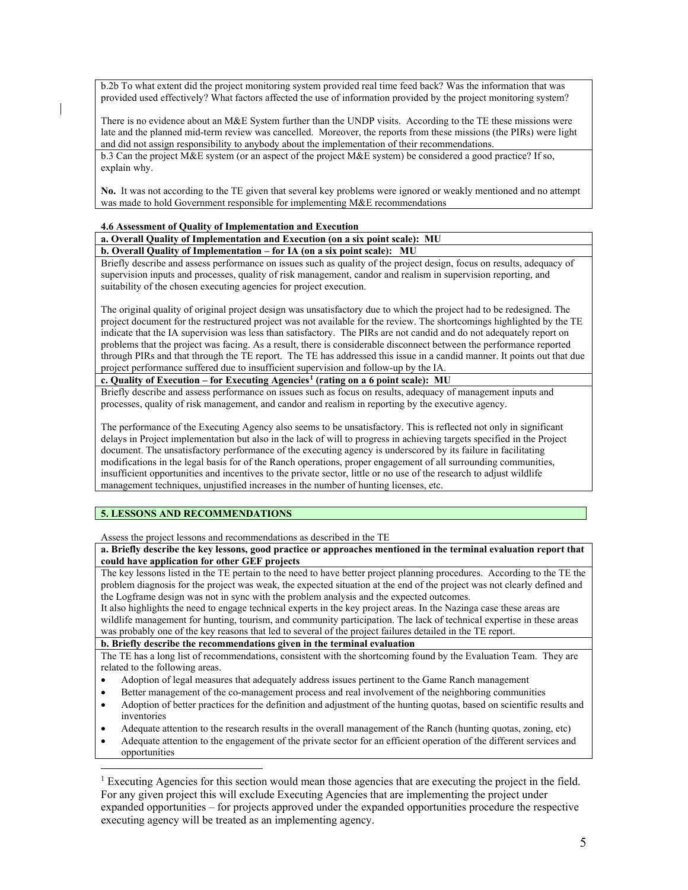b.2b To what extent did the project monitoring system provided real time feed back? Was the information that was provided used effectively? What factors affected the use of information provided by the project monitoring system?

There is no evidence about an M&E System further than the UNDP visits. According to the TE these missions were late and the planned mid-term review was cancelled. Moreover, the reports from these missions (the PIRs) were light and did not assign responsibility to anybody about the implementation of their recommendations.

b.3 Can the project M&E system (or an aspect of the project M&E system) be considered a good practice? If so, explain why.

**No.** It was not according to the TE given that several key problems were ignored or weakly mentioned and no attempt was made to hold Government responsible for implementing M&E recommendations

#### **4.6 Assessment of Quality of Implementation and Execution**

**a. Overall Quality of Implementation and Execution (on a six point scale): MU b. Overall Quality of Implementation – for IA (on a six point scale): MU**

Briefly describe and assess performance on issues such as quality of the project design, focus on results, adequacy of supervision inputs and processes, quality of risk management, candor and realism in supervision reporting, and suitability of the chosen executing agencies for project execution.

The original quality of original project design was unsatisfactory due to which the project had to be redesigned. The project document for the restructured project was not available for the review. The shortcomings highlighted by the TE indicate that the IA supervision was less than satisfactory. The PIRs are not candid and do not adequately report on problems that the project was facing. As a result, there is considerable disconnect between the performance reported through PIRs and that through the TE report. The TE has addressed this issue in a candid manner. It points out that due project performance suffered due to insufficient supervision and follow-up by the IA.

**c. Quality of Execution – for Executing Agencies[1](#page-4-0) (rating on a 6 point scale): MU**

Briefly describe and assess performance on issues such as focus on results, adequacy of management inputs and processes, quality of risk management, and candor and realism in reporting by the executive agency.

The performance of the Executing Agency also seems to be unsatisfactory. This is reflected not only in significant delays in Project implementation but also in the lack of will to progress in achieving targets specified in the Project document. The unsatisfactory performance of the executing agency is underscored by its failure in facilitating modifications in the legal basis for of the Ranch operations, proper engagement of all surrounding communities, insufficient opportunities and incentives to the private sector, little or no use of the research to adjust wildlife management techniques, unjustified increases in the number of hunting licenses, etc.

## **5. LESSONS AND RECOMMENDATIONS**

 $\overline{a}$ 

Assess the project lessons and recommendations as described in the TE

**a. Briefly describe the key lessons, good practice or approaches mentioned in the terminal evaluation report that could have application for other GEF projects**

The key lessons listed in the TE pertain to the need to have better project planning procedures. According to the TE the problem diagnosis for the project was weak, the expected situation at the end of the project was not clearly defined and the Logframe design was not in sync with the problem analysis and the expected outcomes.

It also highlights the need to engage technical experts in the key project areas. In the Nazinga case these areas are wildlife management for hunting, tourism, and community participation. The lack of technical expertise in these areas was probably one of the key reasons that led to several of the project failures detailed in the TE report.

#### **b. Briefly describe the recommendations given in the terminal evaluation**

The TE has a long list of recommendations, consistent with the shortcoming found by the Evaluation Team. They are related to the following areas.

- Adoption of legal measures that adequately address issues pertinent to the Game Ranch management
- Better management of the co-management process and real involvement of the neighboring communities
- Adoption of better practices for the definition and adjustment of the hunting quotas, based on scientific results and inventories
- Adequate attention to the research results in the overall management of the Ranch (hunting quotas, zoning, etc)
- Adequate attention to the engagement of the private sector for an efficient operation of the different services and opportunities

<span id="page-4-0"></span><sup>1</sup> Executing Agencies for this section would mean those agencies that are executing the project in the field. For any given project this will exclude Executing Agencies that are implementing the project under expanded opportunities – for projects approved under the expanded opportunities procedure the respective executing agency will be treated as an implementing agency.